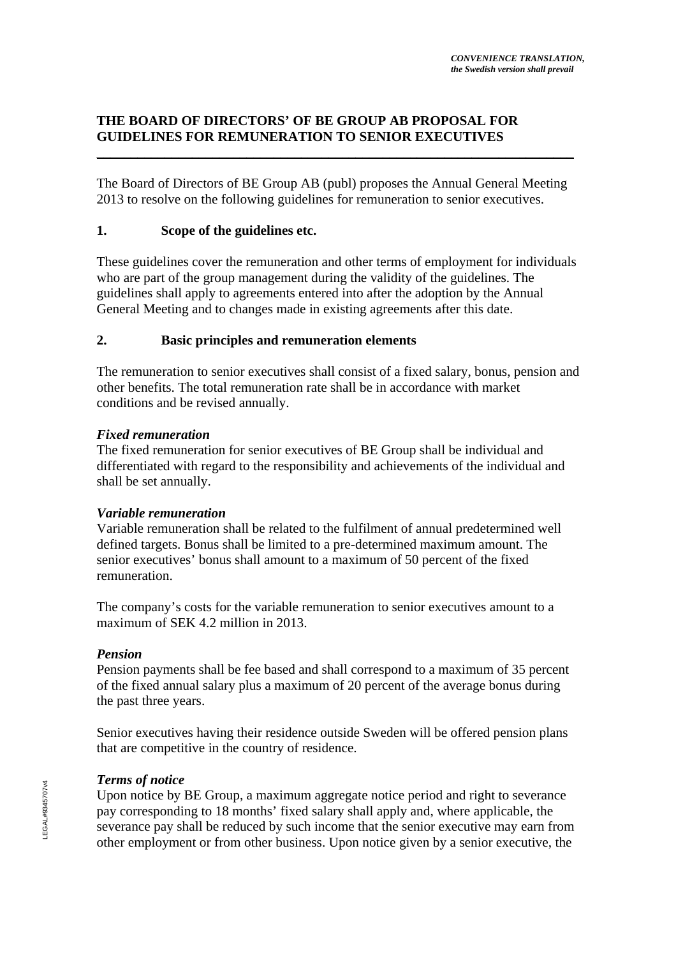### **THE BOARD OF DIRECTORS' OF BE GROUP AB PROPOSAL FOR GUIDELINES FOR REMUNERATION TO SENIOR EXECUTIVES**  \_\_\_\_\_\_\_\_\_\_\_\_\_\_\_\_\_\_\_\_\_\_\_\_\_\_\_\_\_\_\_\_\_\_\_\_\_\_\_\_\_\_\_\_\_\_\_\_\_\_\_\_\_\_\_\_\_\_\_\_\_\_\_\_\_\_\_\_\_\_

The Board of Directors of BE Group AB (publ) proposes the Annual General Meeting 2013 to resolve on the following guidelines for remuneration to senior executives.

### **1. Scope of the guidelines etc.**

These guidelines cover the remuneration and other terms of employment for individuals who are part of the group management during the validity of the guidelines. The guidelines shall apply to agreements entered into after the adoption by the Annual General Meeting and to changes made in existing agreements after this date.

#### **2. Basic principles and remuneration elements**

The remuneration to senior executives shall consist of a fixed salary, bonus, pension and other benefits. The total remuneration rate shall be in accordance with market conditions and be revised annually.

#### *Fixed remuneration*

The fixed remuneration for senior executives of BE Group shall be individual and differentiated with regard to the responsibility and achievements of the individual and shall be set annually.

# *Variable remuneration*

Variable remuneration shall be related to the fulfilment of annual predetermined well defined targets. Bonus shall be limited to a pre-determined maximum amount. The senior executives' bonus shall amount to a maximum of 50 percent of the fixed remuneration.

The company's costs for the variable remuneration to senior executives amount to a maximum of SEK 4.2 million in 2013.

# *Pension*

Pension payments shall be fee based and shall correspond to a maximum of 35 percent of the fixed annual salary plus a maximum of 20 percent of the average bonus during the past three years.

Senior executives having their residence outside Sweden will be offered pension plans that are competitive in the country of residence.

# *Terms of notice*

Upon notice by BE Group, a maximum aggregate notice period and right to severance pay corresponding to 18 months' fixed salary shall apply and, where applicable, the severance pay shall be reduced by such income that the senior executive may earn from other employment or from other business. Upon notice given by a senior executive, the